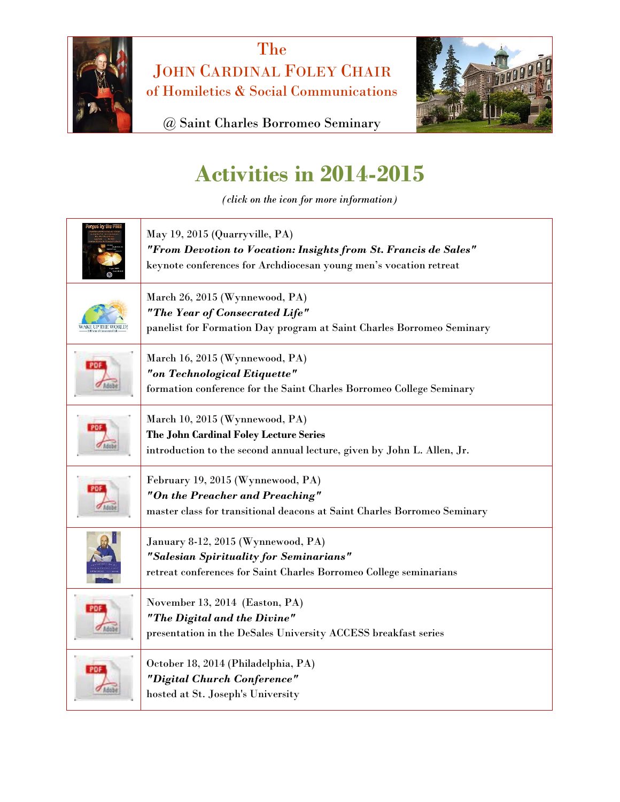

The JOHN CARDINAL FOLEY CHAIR of Homiletics & Social Communications



@ Saint Charles Borromeo Seminary

## **Activities in 2014-2015**

*(click on the icon for more information)*

| ngen by the P    | May 19, 2015 (Quarryville, PA)<br>"From Devotion to Vocation: Insights from St. Francis de Sales"<br>keynote conferences for Archdiocesan young men's vocation retreat |
|------------------|------------------------------------------------------------------------------------------------------------------------------------------------------------------------|
| VAKE UP THE WORL | March 26, 2015 (Wynnewood, PA)<br>"The Year of Consecrated Life"<br>panelist for Formation Day program at Saint Charles Borromeo Seminary                              |
|                  | March 16, 2015 (Wynnewood, PA)<br>"on Technological Etiquette"<br>formation conference for the Saint Charles Borromeo College Seminary                                 |
|                  | March 10, 2015 (Wynnewood, PA)<br>The John Cardinal Foley Lecture Series<br>introduction to the second annual lecture, given by John L. Allen, Jr.                     |
|                  | February 19, 2015 (Wynnewood, PA)<br>"On the Preacher and Preaching"<br>master class for transitional deacons at Saint Charles Borromeo Seminary                       |
|                  | January 8-12, 2015 (Wynnewood, PA)<br>"Salesian Spirituality for Seminarians"<br>retreat conferences for Saint Charles Borromeo College seminarians                    |
|                  | November 13, 2014 (Easton, PA)<br>"The Digital and the Divine"<br>presentation in the DeSales University ACCESS breakfast series                                       |
|                  | October 18, 2014 (Philadelphia, PA)<br>"Digital Church Conference"<br>hosted at St. Joseph's University                                                                |